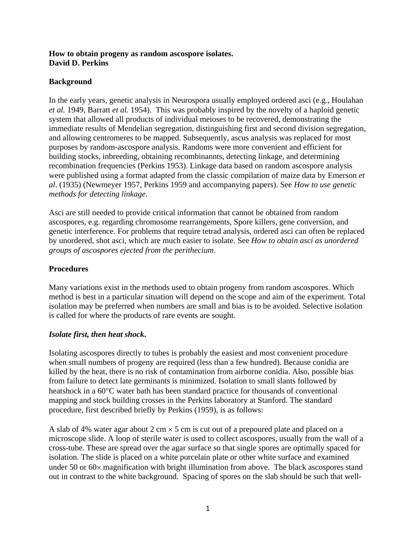### **How to obtain progeny as random ascospore isolates. David D. Perkins**

# **Background**

In the early years, genetic analysis in Neurospora usually employed ordered asci (e.g., Houlahan *et al.* 1949, Barratt *et al.* 1954). This was probably inspired by the novelty of a haploid genetic system that allowed all products of individual meioses to be recovered, demonstrating the immediate results of Mendelian segregation, distinguishing first and second division segregation, and allowing centromeres to be mapped. Subsequently, ascus analysis was replaced for most purposes by random-ascospore analysis. Randoms were more convenient and efficient for building stocks, inbreeding, obtaining recombinannts, detecting linkage, and determining recombination frequencies (Perkins 1953). Linkage data based on random ascospore analysis were published using a format adapted from the classic compilation of maize data by Emerson *et al*. (1935) (Newmeyer 1957, Perkins 1959 and accompanying papers). See *How to use genetic methods for detecting linkage*.

Asci are still needed to provide critical information that cannot be obtained from random ascospores, e.g. regarding chromosome rearrangements, Spore killers, gene conversion, and genetic interference. For problems that require tetrad analysis, ordered asci can often be replaced by unordered, shot asci, which are much easier to isolate. See *How to obtain asci as unordered groups of ascospores ejected from the perithecium*.

# **Procedures**

Many variations exist in the methods used to obtain progeny from random ascospores. Which method is best in a particular situation will depend on the scope and aim of the experiment. Total isolation may be preferred when numbers are small and bias is to be avoided. Selective isolation is called for where the products of rare events are sought.

# *Isolate first, then heat shock***.**

Isolating ascospores directly to tubes is probably the easiest and most convenient procedure when small numbers of progeny are required (less than a few hundred). Because conidia are killed by the heat, there is no risk of contamination from airborne conidia. Also, possible bias from failure to detect late germinants is minimized. Isolation to small slants followed by heatshock in a 60°C water bath has been standard practice for thousands of conventional mapping and stock building crosses in the Perkins laboratory at Stanford. The standard procedure, first described briefly by Perkins (1959), is as follows:

A slab of 4% water agar about 2 cm  $\times$  5 cm is cut out of a prepoured plate and placed on a microscope slide. A loop of sterile water is used to collect ascospores, usually from the wall of a cross-tube. These are spread over the agar surface so that single spores are optimally spaced for isolation. The slide is placed on a white porcelain plate or other white surface and examined under 50 or 60× magnification with bright illumination from above. The black ascospores stand out in contrast to the white background. Spacing of spores on the slab should be such that well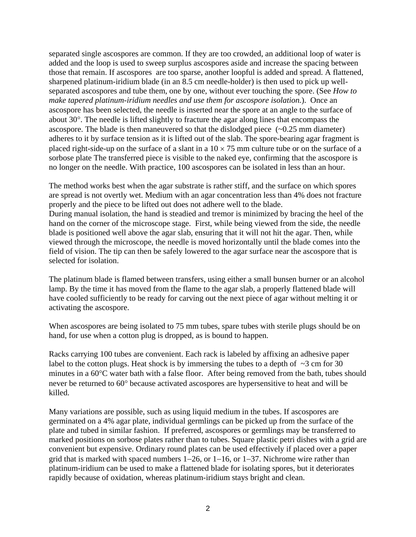separated single ascospores are common. If they are too crowded, an additional loop of water is added and the loop is used to sweep surplus ascospores aside and increase the spacing between those that remain. If ascospores are too sparse, another loopful is added and spread. A flattened, sharpened platinum-iridium blade (in an 8.5 cm needle-holder) is then used to pick up wellseparated ascospores and tube them, one by one, without ever touching the spore. (See *How to make tapered platinum-iridium needles and use them for ascospore isolation.*). Once an ascospore has been selected, the needle is inserted near the spore at an angle to the surface of about 30°. The needle is lifted slightly to fracture the agar along lines that encompass the ascospore. The blade is then maneuvered so that the dislodged piece  $(-0.25 \text{ mm diameter})$ adheres to it by surface tension as it is lifted out of the slab. The spore-bearing agar fragment is placed right-side-up on the surface of a slant in a  $10 \times 75$  mm culture tube or on the surface of a sorbose plate The transferred piece is visible to the naked eye, confirming that the ascospore is no longer on the needle. With practice, 100 ascospores can be isolated in less than an hour.

The method works best when the agar substrate is rather stiff, and the surface on which spores are spread is not overtly wet. Medium with an agar concentration less than 4% does not fracture properly and the piece to be lifted out does not adhere well to the blade. During manual isolation, the hand is steadied and tremor is minimized by bracing the heel of the hand on the corner of the microscope stage. First, while being viewed from the side, the needle blade is positioned well above the agar slab, ensuring that it will not hit the agar. Then, while viewed through the microscope, the needle is moved horizontally until the blade comes into the field of vision. The tip can then be safely lowered to the agar surface near the ascospore that is selected for isolation.

The platinum blade is flamed between transfers, using either a small bunsen burner or an alcohol lamp. By the time it has moved from the flame to the agar slab, a properly flattened blade will have cooled sufficiently to be ready for carving out the next piece of agar without melting it or activating the ascospore.

When ascospores are being isolated to 75 mm tubes, spare tubes with sterile plugs should be on hand, for use when a cotton plug is dropped, as is bound to happen.

Racks carrying 100 tubes are convenient. Each rack is labeled by affixing an adhesive paper label to the cotton plugs. Heat shock is by immersing the tubes to a depth of  $\sim$ 3 cm for 30 minutes in a 60°C water bath with a false floor. After being removed from the bath, tubes should never be returned to 60° because activated ascospores are hypersensitive to heat and will be killed.

Many variations are possible, such as using liquid medium in the tubes. If ascospores are germinated on a 4% agar plate, individual germlings can be picked up from the surface of the plate and tubed in similar fashion. If preferred, ascospores or germlings may be transferred to marked positions on sorbose plates rather than to tubes. Square plastic petri dishes with a grid are convenient but expensive. Ordinary round plates can be used effectively if placed over a paper grid that is marked with spaced numbers 1−26, or 1−16, or 1−37. Nichrome wire rather than platinum-iridium can be used to make a flattened blade for isolating spores, but it deteriorates rapidly because of oxidation, whereas platinum-iridium stays bright and clean.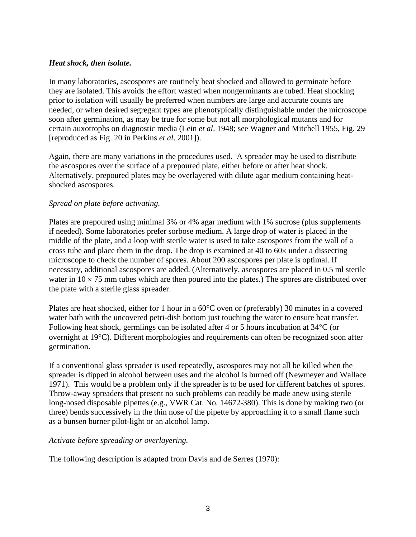### *Heat shock, then isolate.*

In many laboratories, ascospores are routinely heat shocked and allowed to germinate before they are isolated. This avoids the effort wasted when nongerminants are tubed. Heat shocking prior to isolation will usually be preferred when numbers are large and accurate counts are needed, or when desired segregant types are phenotypically distinguishable under the microscope soon after germination, as may be true for some but not all morphological mutants and for certain auxotrophs on diagnostic media (Lein *et al*. 1948; see Wagner and Mitchell 1955, Fig. 29 [reproduced as Fig. 20 in Perkins *et al*. 2001]).

Again, there are many variations in the procedures used. A spreader may be used to distribute the ascospores over the surface of a prepoured plate, either before or after heat shock. Alternatively, prepoured plates may be overlayered with dilute agar medium containing heatshocked ascospores.

### *Spread on plate before activating.*

Plates are prepoured using minimal 3% or 4% agar medium with 1% sucrose (plus supplements if needed). Some laboratories prefer sorbose medium. A large drop of water is placed in the middle of the plate, and a loop with sterile water is used to take ascospores from the wall of a cross tube and place them in the drop. The drop is examined at 40 to  $60 \times$  under a dissecting microscope to check the number of spores. About 200 ascospores per plate is optimal. If necessary, additional ascospores are added. (Alternatively, ascospores are placed in 0.5 ml sterile water in  $10 \times 75$  mm tubes which are then poured into the plates.) The spores are distributed over the plate with a sterile glass spreader.

Plates are heat shocked, either for 1 hour in a 60°C oven or (preferably) 30 minutes in a covered water bath with the uncovered petri-dish bottom just touching the water to ensure heat transfer. Following heat shock, germlings can be isolated after 4 or 5 hours incubation at 34°C (or overnight at 19°C). Different morphologies and requirements can often be recognized soon after germination.

If a conventional glass spreader is used repeatedly, ascospores may not all be killed when the spreader is dipped in alcohol between uses and the alcohol is burned off (Newmeyer and Wallace 1971). This would be a problem only if the spreader is to be used for different batches of spores. Throw-away spreaders that present no such problems can readily be made anew using sterile long-nosed disposable pipettes (e.g., VWR Cat. No. 14672-380). This is done by making two (or three) bends successively in the thin nose of the pipette by approaching it to a small flame such as a bunsen burner pilot-light or an alcohol lamp.

# *Activate before spreading or overlayering.*

The following description is adapted from Davis and de Serres (1970):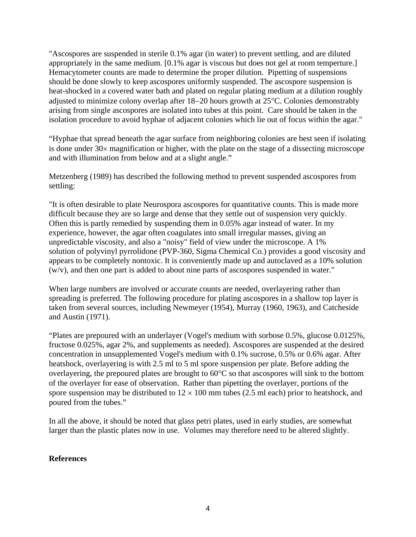"Ascospores are suspended in sterile 0.1% agar (in water) to prevent settling, and are diluted appropriately in the same medium. [0.1% agar is viscous but does not gel at room temperture.] Hemacytometer counts are made to determine the proper dilution. Pipetting of suspensions should be done slowly to keep ascospores uniformly suspended. The ascospore suspension is heat-shocked in a covered water bath and plated on regular plating medium at a dilution roughly adjusted to minimize colony overlap after 18−20 hours growth at 25°C. Colonies demonstrably arising from single ascospores are isolated into tubes at this point. Care should be taken in the isolation procedure to avoid hyphae of adjacent colonies which lie out of focus within the agar."

"Hyphae that spread beneath the agar surface from neighboring colonies are best seen if isolating is done under 30× magnification or higher, with the plate on the stage of a dissecting microscope and with illumination from below and at a slight angle."

Metzenberg (1989) has described the following method to prevent suspended ascospores from settling:

"It is often desirable to plate Neurospora ascospores for quantitative counts. This is made more difficult because they are so large and dense that they settle out of suspension very quickly. Often this is partly remedied by suspending them in 0.05% agar instead of water. In my experience, however, the agar often coagulates into small irregular masses, giving an unpredictable viscosity, and also a "noisy" field of view under the microscope. A 1% solution of polyvinyl pyrrolidone (PVP-360, Sigma Chemical Co.) provides a good viscosity and appears to be completely nontoxic. It is conveniently made up and autoclaved as a 10% solution (w/v), and then one part is added to about nine parts of ascospores suspended in water."

When large numbers are involved or accurate counts are needed, overlayering rather than spreading is preferred. The following procedure for plating ascospores in a shallow top layer is taken from several sources, including Newmeyer (1954), Murray (1960, 1963), and Catcheside and Austin (1971).

"Plates are prepoured with an underlayer (Vogel's medium with sorbose 0.5%, glucose 0.0125%, fructose 0.025%, agar 2%, and supplements as needed). Ascospores are suspended at the desired concentration in unsupplemented Vogel's medium with 0.1% sucrose, 0.5% or 0.6% agar. After heatshock, overlayering is with 2.5 ml to 5 ml spore suspension per plate. Before adding the overlayering, the prepoured plates are brought to 60°C so that ascospores will sink to the bottom of the overlayer for ease of observation. Rather than pipetting the overlayer, portions of the spore suspension may be distributed to  $12 \times 100$  mm tubes (2.5 ml each) prior to heatshock, and poured from the tubes."

In all the above, it should be noted that glass petri plates, used in early studies, are somewhat larger than the plastic plates now in use. Volumes may therefore need to be altered slightly.

#### **References**